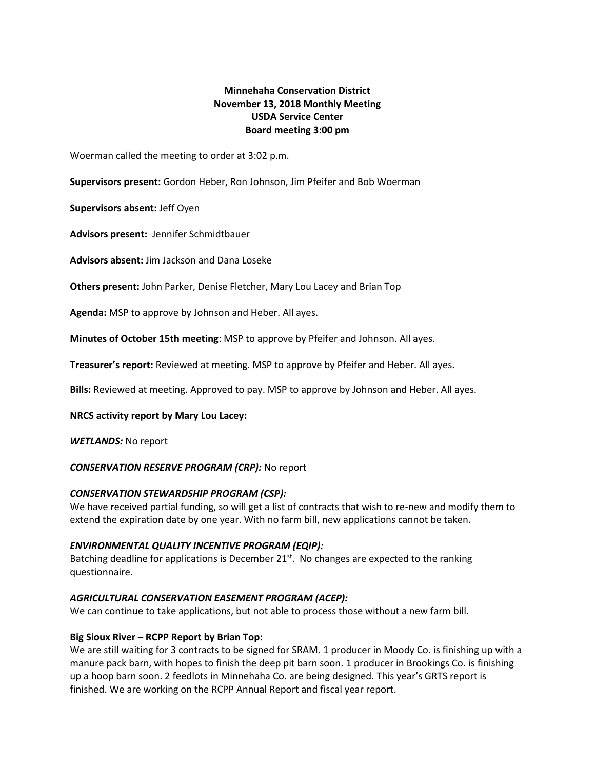# **Minnehaha Conservation District November 13, 2018 Monthly Meeting USDA Service Center Board meeting 3:00 pm**

Woerman called the meeting to order at 3:02 p.m.

**Supervisors present:** Gordon Heber, Ron Johnson, Jim Pfeifer and Bob Woerman

**Supervisors absent:** Jeff Oyen

**Advisors present:** Jennifer Schmidtbauer

**Advisors absent:** Jim Jackson and Dana Loseke

**Others present:** John Parker, Denise Fletcher, Mary Lou Lacey and Brian Top

**Agenda:** MSP to approve by Johnson and Heber. All ayes.

**Minutes of October 15th meeting**: MSP to approve by Pfeifer and Johnson. All ayes.

**Treasurer's report:** Reviewed at meeting. MSP to approve by Pfeifer and Heber. All ayes.

**Bills:** Reviewed at meeting. Approved to pay. MSP to approve by Johnson and Heber. All ayes.

### **NRCS activity report by Mary Lou Lacey:**

*WETLANDS:* No report

### *CONSERVATION RESERVE PROGRAM (CRP):* No report

### *CONSERVATION STEWARDSHIP PROGRAM (CSP):*

We have received partial funding, so will get a list of contracts that wish to re-new and modify them to extend the expiration date by one year. With no farm bill, new applications cannot be taken.

### *ENVIRONMENTAL QUALITY INCENTIVE PROGRAM (EQIP):*

Batching deadline for applications is December  $21^{st}$ . No changes are expected to the ranking questionnaire.

# *AGRICULTURAL CONSERVATION EASEMENT PROGRAM (ACEP):*

We can continue to take applications, but not able to process those without a new farm bill.

# **Big Sioux River – RCPP Report by Brian Top:**

We are still waiting for 3 contracts to be signed for SRAM. 1 producer in Moody Co. is finishing up with a manure pack barn, with hopes to finish the deep pit barn soon. 1 producer in Brookings Co. is finishing up a hoop barn soon. 2 feedlots in Minnehaha Co. are being designed. This year's GRTS report is finished. We are working on the RCPP Annual Report and fiscal year report.